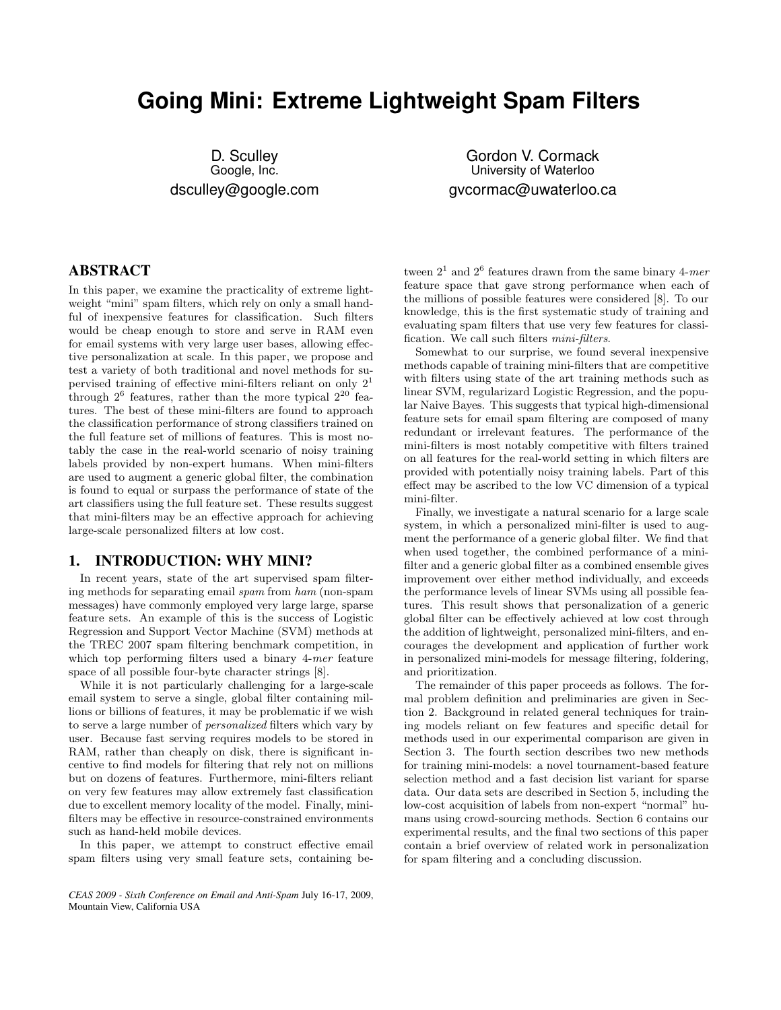# **Going Mini: Extreme Lightweight Spam Filters**

D. Sculley Google, Inc. dsculley@google.com

Gordon V. Cormack University of Waterloo gvcormac@uwaterloo.ca

# ABSTRACT

In this paper, we examine the practicality of extreme lightweight "mini" spam filters, which rely on only a small handful of inexpensive features for classification. Such filters would be cheap enough to store and serve in RAM even for email systems with very large user bases, allowing effective personalization at scale. In this paper, we propose and test a variety of both traditional and novel methods for supervised training of effective mini-filters reliant on only  $2<sup>1</sup>$ through  $2^6$  features, rather than the more typical  $2^{20}$  features. The best of these mini-filters are found to approach the classification performance of strong classifiers trained on the full feature set of millions of features. This is most notably the case in the real-world scenario of noisy training labels provided by non-expert humans. When mini-filters are used to augment a generic global filter, the combination is found to equal or surpass the performance of state of the art classifiers using the full feature set. These results suggest that mini-filters may be an effective approach for achieving large-scale personalized filters at low cost.

# 1. INTRODUCTION: WHY MINI?

In recent years, state of the art supervised spam filtering methods for separating email *spam* from *ham* (non-spam messages) have commonly employed very large large, sparse feature sets. An example of this is the success of Logistic Regression and Support Vector Machine (SVM) methods at the TREC 2007 spam filtering benchmark competition, in which top performing filters used a binary 4-*mer* feature space of all possible four-byte character strings [8].

While it is not particularly challenging for a large-scale email system to serve a single, global filter containing millions or billions of features, it may be problematic if we wish to serve a large number of *personalized* filters which vary by user. Because fast serving requires models to be stored in RAM, rather than cheaply on disk, there is significant incentive to find models for filtering that rely not on millions but on dozens of features. Furthermore, mini-filters reliant on very few features may allow extremely fast classification due to excellent memory locality of the model. Finally, minifilters may be effective in resource-constrained environments such as hand-held mobile devices.

In this paper, we attempt to construct effective email spam filters using very small feature sets, containing be-

*CEAS 2009 - Sixth Conference on Email and Anti-Spam* July 16-17, 2009, Mountain View, California USA

tween  $2<sup>1</sup>$  and  $2<sup>6</sup>$  features drawn from the same binary 4-*mer* feature space that gave strong performance when each of the millions of possible features were considered [8]. To our knowledge, this is the first systematic study of training and evaluating spam filters that use very few features for classification. We call such filters *mini-filters*.

Somewhat to our surprise, we found several inexpensive methods capable of training mini-filters that are competitive with filters using state of the art training methods such as linear SVM, regularizard Logistic Regression, and the popular Naive Bayes. This suggests that typical high-dimensional feature sets for email spam filtering are composed of many redundant or irrelevant features. The performance of the mini-filters is most notably competitive with filters trained on all features for the real-world setting in which filters are provided with potentially noisy training labels. Part of this effect may be ascribed to the low VC dimension of a typical mini-filter.

Finally, we investigate a natural scenario for a large scale system, in which a personalized mini-filter is used to augment the performance of a generic global filter. We find that when used together, the combined performance of a minifilter and a generic global filter as a combined ensemble gives improvement over either method individually, and exceeds the performance levels of linear SVMs using all possible features. This result shows that personalization of a generic global filter can be effectively achieved at low cost through the addition of lightweight, personalized mini-filters, and encourages the development and application of further work in personalized mini-models for message filtering, foldering, and prioritization.

The remainder of this paper proceeds as follows. The formal problem definition and preliminaries are given in Section 2. Background in related general techniques for training models reliant on few features and specific detail for methods used in our experimental comparison are given in Section 3. The fourth section describes two new methods for training mini-models: a novel tournament-based feature selection method and a fast decision list variant for sparse data. Our data sets are described in Section 5, including the low-cost acquisition of labels from non-expert "normal" humans using crowd-sourcing methods. Section 6 contains our experimental results, and the final two sections of this paper contain a brief overview of related work in personalization for spam filtering and a concluding discussion.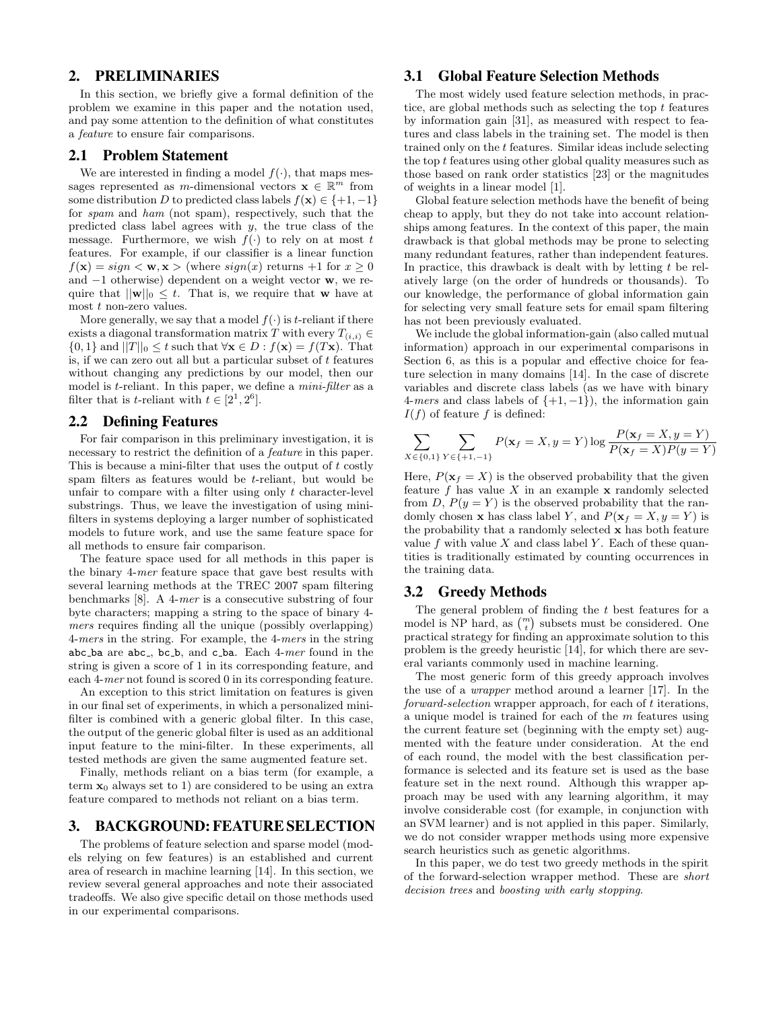## 2. PRELIMINARIES

In this section, we briefly give a formal definition of the problem we examine in this paper and the notation used, and pay some attention to the definition of what constitutes a *feature* to ensure fair comparisons.

#### 2.1 Problem Statement

We are interested in finding a model  $f(\cdot)$ , that maps messages represented as *m*-dimensional vectors  $\mathbf{x} \in \mathbb{R}^m$  from some distribution *D* to predicted class labels  $f(\mathbf{x}) \in \{+1, -1\}$ for *spam* and *ham* (not spam), respectively, such that the predicted class label agrees with *y*, the true class of the message. Furthermore, we wish  $f(\cdot)$  to rely on at most *t* features. For example, if our classifier is a linear function  $f(\mathbf{x}) = sign < \mathbf{w}, \mathbf{x} > (where sign(x) returns +1 for  $x \geq 0$$ and *−*1 otherwise) dependent on a weight vector **w**, we require that  $||\mathbf{w}||_0 \leq t$ . That is, we require that **w** have at most *t* non-zero values.

More generally, we say that a model  $f(.)$  is *t*-reliant if there exists a diagonal transformation matrix *T* with every  $T_{(i,i)} \in$  $\{0,1\}$  and  $||T||_0 \le t$  such that  $\forall$ **x**  $\in$  *D* :  $f(\mathbf{x}) = f(T\mathbf{x})$ . That is, if we can zero out all but a particular subset of *t* features without changing any predictions by our model, then our model is *t*-reliant. In this paper, we define a *mini-filter* as a filter that is *t*-reliant with  $t \in [2^1, 2^6]$ .

#### 2.2 Defining Features

For fair comparison in this preliminary investigation, it is necessary to restrict the definition of a *feature* in this paper. This is because a mini-filter that uses the output of *t* costly spam filters as features would be *t*-reliant, but would be unfair to compare with a filter using only *t* character-level substrings. Thus, we leave the investigation of using minifilters in systems deploying a larger number of sophisticated models to future work, and use the same feature space for all methods to ensure fair comparison.

The feature space used for all methods in this paper is the binary 4-*mer* feature space that gave best results with several learning methods at the TREC 2007 spam filtering benchmarks [8]. A 4-*mer* is a consecutive substring of four byte characters; mapping a string to the space of binary 4 *mers* requires finding all the unique (possibly overlapping) 4-*mers* in the string. For example, the 4-*mers* in the string abc ba are abc , bc b, and c ba. Each 4-*mer* found in the string is given a score of 1 in its corresponding feature, and each 4-*mer* not found is scored 0 in its corresponding feature.

An exception to this strict limitation on features is given in our final set of experiments, in which a personalized minifilter is combined with a generic global filter. In this case, the output of the generic global filter is used as an additional input feature to the mini-filter. In these experiments, all tested methods are given the same augmented feature set.

Finally, methods reliant on a bias term (for example, a term  $x_0$  always set to 1) are considered to be using an extra feature compared to methods not reliant on a bias term.

## 3. BACKGROUND: FEATURE SELECTION

The problems of feature selection and sparse model (models relying on few features) is an established and current area of research in machine learning [14]. In this section, we review several general approaches and note their associated tradeoffs. We also give specific detail on those methods used in our experimental comparisons.

## 3.1 Global Feature Selection Methods

The most widely used feature selection methods, in practice, are global methods such as selecting the top *t* features by information gain [31], as measured with respect to features and class labels in the training set. The model is then trained only on the *t* features. Similar ideas include selecting the top *t* features using other global quality measures such as those based on rank order statistics [23] or the magnitudes of weights in a linear model [1].

Global feature selection methods have the benefit of being cheap to apply, but they do not take into account relationships among features. In the context of this paper, the main drawback is that global methods may be prone to selecting many redundant features, rather than independent features. In practice, this drawback is dealt with by letting *t* be relatively large (on the order of hundreds or thousands). To our knowledge, the performance of global information gain for selecting very small feature sets for email spam filtering has not been previously evaluated.

We include the global information-gain (also called mutual information) approach in our experimental comparisons in Section 6, as this is a popular and effective choice for feature selection in many domains [14]. In the case of discrete variables and discrete class labels (as we have with binary 4-*mers* and class labels of *{*+1*, −*1*}*), the information gain *I*(*f*) of feature *f* is defined:

$$
\sum_{X \in \{0,1\}} \sum_{Y \in \{+1,-1\}} P(\mathbf{x}_f = X, y = Y) \log \frac{P(\mathbf{x}_f = X, y = Y)}{P(\mathbf{x}_f = X)P(y = Y)}
$$

Here,  $P(\mathbf{x}_f = X)$  is the observed probability that the given feature  $f$  has value  $X$  in an example  $x$  randomly selected from *D*,  $P(y = Y)$  is the observed probability that the randomly chosen **x** has class label *Y*, and  $P(\mathbf{x}_f = X, y = Y)$  is the probability that a randomly selected **x** has both feature value *f* with value *X* and class label *Y* . Each of these quantities is traditionally estimated by counting occurrences in the training data.

#### 3.2 Greedy Methods

The general problem of finding the *t* best features for a model is NP hard, as  $\binom{m}{t}$  subsets must be considered. One practical strategy for finding an approximate solution to this problem is the greedy heuristic [14], for which there are several variants commonly used in machine learning.

The most generic form of this greedy approach involves the use of a *wrapper* method around a learner [17]. In the *forward-selection* wrapper approach, for each of *t* iterations, a unique model is trained for each of the *m* features using the current feature set (beginning with the empty set) augmented with the feature under consideration. At the end of each round, the model with the best classification performance is selected and its feature set is used as the base feature set in the next round. Although this wrapper approach may be used with any learning algorithm, it may involve considerable cost (for example, in conjunction with an SVM learner) and is not applied in this paper. Similarly, we do not consider wrapper methods using more expensive search heuristics such as genetic algorithms.

In this paper, we do test two greedy methods in the spirit of the forward-selection wrapper method. These are *short decision trees* and *boosting with early stopping*.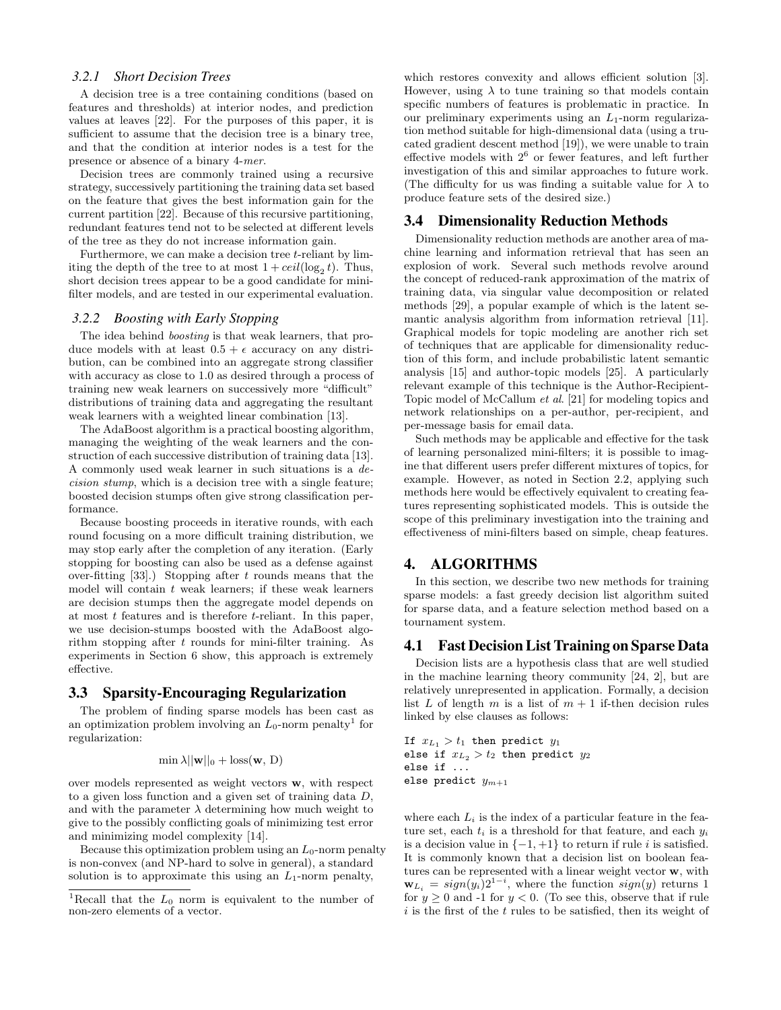#### *3.2.1 Short Decision Trees*

A decision tree is a tree containing conditions (based on features and thresholds) at interior nodes, and prediction values at leaves [22]. For the purposes of this paper, it is sufficient to assume that the decision tree is a binary tree, and that the condition at interior nodes is a test for the presence or absence of a binary 4-*mer*.

Decision trees are commonly trained using a recursive strategy, successively partitioning the training data set based on the feature that gives the best information gain for the current partition [22]. Because of this recursive partitioning, redundant features tend not to be selected at different levels of the tree as they do not increase information gain.

Furthermore, we can make a decision tree *t*-reliant by limiting the depth of the tree to at most  $1 + ceil(\log_2 t)$ . Thus, short decision trees appear to be a good candidate for minifilter models, and are tested in our experimental evaluation.

#### *3.2.2 Boosting with Early Stopping*

The idea behind *boosting* is that weak learners, that produce models with at least  $0.5 + \epsilon$  accuracy on any distribution, can be combined into an aggregate strong classifier with accuracy as close to 1*.*0 as desired through a process of training new weak learners on successively more "difficult" distributions of training data and aggregating the resultant weak learners with a weighted linear combination [13].

The AdaBoost algorithm is a practical boosting algorithm, managing the weighting of the weak learners and the construction of each successive distribution of training data [13]. A commonly used weak learner in such situations is a *decision stump*, which is a decision tree with a single feature; boosted decision stumps often give strong classification performance.

Because boosting proceeds in iterative rounds, with each round focusing on a more difficult training distribution, we may stop early after the completion of any iteration. (Early stopping for boosting can also be used as a defense against over-fitting [33].) Stopping after *t* rounds means that the model will contain *t* weak learners; if these weak learners are decision stumps then the aggregate model depends on at most *t* features and is therefore *t*-reliant. In this paper, we use decision-stumps boosted with the AdaBoost algorithm stopping after *t* rounds for mini-filter training. As experiments in Section 6 show, this approach is extremely effective.

## 3.3 Sparsity-Encouraging Regularization

The problem of finding sparse models has been cast as an optimization problem involving an  $L_0$ -norm penalty<sup>1</sup> for regularization:

$$
\min \lambda ||\mathbf{w}||_0 + \text{loss}(\mathbf{w}, D)
$$

over models represented as weight vectors **w**, with respect to a given loss function and a given set of training data *D*, and with the parameter  $\lambda$  determining how much weight to give to the possibly conflicting goals of minimizing test error and minimizing model complexity [14].

Because this optimization problem using an *L*0-norm penalty is non-convex (and NP-hard to solve in general), a standard solution is to approximate this using an  $L_1$ -norm penalty,

which restores convexity and allows efficient solution [3]. However, using  $\lambda$  to tune training so that models contain specific numbers of features is problematic in practice. In our preliminary experiments using an *L*1-norm regularization method suitable for high-dimensional data (using a trucated gradient descent method [19]), we were unable to train effective models with  $2^6$  or fewer features, and left further investigation of this and similar approaches to future work. (The difficulty for us was finding a suitable value for  $\lambda$  to produce feature sets of the desired size.)

## 3.4 Dimensionality Reduction Methods

Dimensionality reduction methods are another area of machine learning and information retrieval that has seen an explosion of work. Several such methods revolve around the concept of reduced-rank approximation of the matrix of training data, via singular value decomposition or related methods [29], a popular example of which is the latent semantic analysis algorithm from information retrieval [11]. Graphical models for topic modeling are another rich set of techniques that are applicable for dimensionality reduction of this form, and include probabilistic latent semantic analysis [15] and author-topic models [25]. A particularly relevant example of this technique is the Author-Recipient-Topic model of McCallum *et al*. [21] for modeling topics and network relationships on a per-author, per-recipient, and per-message basis for email data.

Such methods may be applicable and effective for the task of learning personalized mini-filters; it is possible to imagine that different users prefer different mixtures of topics, for example. However, as noted in Section 2.2, applying such methods here would be effectively equivalent to creating features representing sophisticated models. This is outside the scope of this preliminary investigation into the training and effectiveness of mini-filters based on simple, cheap features.

#### 4. ALGORITHMS

In this section, we describe two new methods for training sparse models: a fast greedy decision list algorithm suited for sparse data, and a feature selection method based on a tournament system.

#### 4.1 Fast Decision List Training on Sparse Data

Decision lists are a hypothesis class that are well studied in the machine learning theory community [24, 2], but are relatively unrepresented in application. Formally, a decision list *L* of length *m* is a list of  $m + 1$  if-then decision rules linked by else clauses as follows:

If  $x_{L_1} > t_1$  then predict  $y_1$ else if  $x_{L_2} > t_2$  then predict  $y_2$ else if ... else predict *y<sup>m</sup>*+1

where each  $L_i$  is the index of a particular feature in the feature set, each  $t_i$  is a threshold for that feature, and each  $y_i$ is a decision value in  $\{-1, +1\}$  to return if rule *i* is satisfied. It is commonly known that a decision list on boolean features can be represented with a linear weight vector **w**, with  $\mathbf{w}_{L_i} = sign(y_i)2^{1-i}$ , where the function  $sign(y)$  returns 1 for  $y \geq 0$  and -1 for  $y < 0$ . (To see this, observe that if rule *i* is the first of the *t* rules to be satisfied, then its weight of

<sup>&</sup>lt;sup>1</sup>Recall that the  $L_0$  norm is equivalent to the number of non-zero elements of a vector.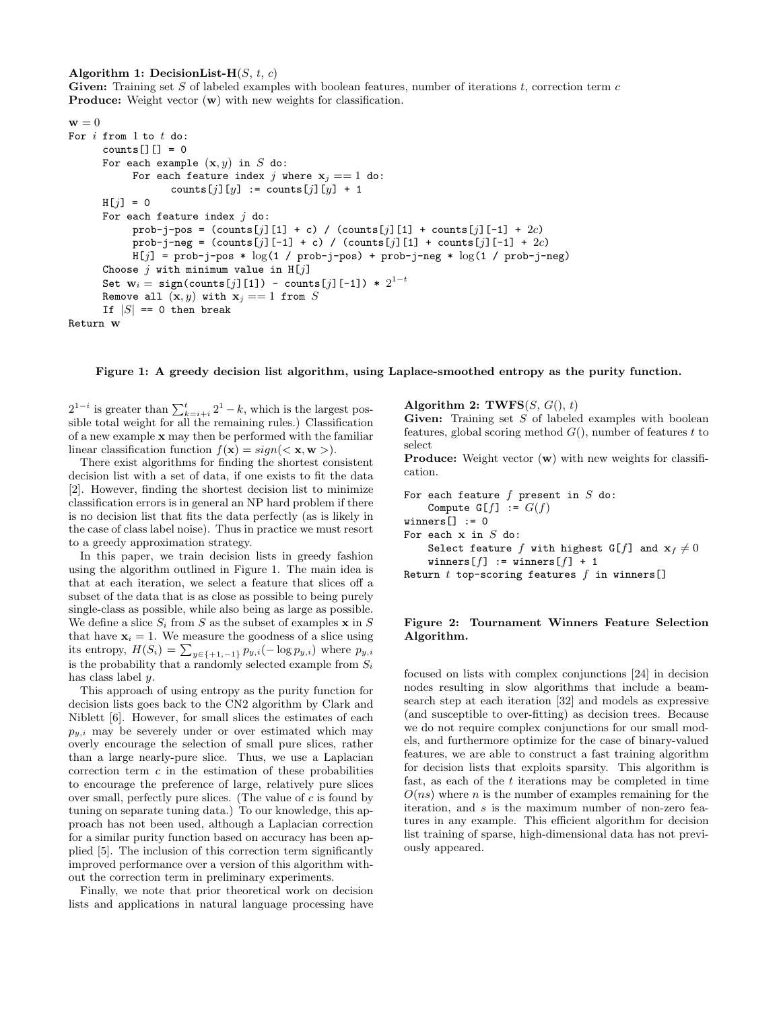#### **Algorithm 1:** DecisionList- $H(S, t, c)$

**Given:** Training set *S* of labeled examples with boolean features, number of iterations *t*, correction term *c* **Produce:** Weight vector  $(w)$  with new weights for classification.

```
\mathbf{w} = 0For i from 1 to t do:
      counts[][] = 0
      For each example (x, y) in S do:
            For each feature index j where x_j == 1 do:
                   counts[j][y] := counts[j][y] + 1
      H[j] = 0For each feature index j do:
            prob-j-pos = (counts[j][1] + c) / (counts[j][1] + counts[j][-1] + 2c)
            prob-j-neg = (counts[j][-1] + c) / (counts[j][1] + counts[j][-1] + 2c)H[j] = prob-j-pos * log(1 / prob-j-pos) + prob-j-neg * log(1 / prob-j-neg)Choose j with minimum value in H[j]
      {\bf Set}~~{\bf w}_i = {\tt sign}({\tt counts}[j]{\rm [1]}) - {\tt counts}[j]{\rm [-1]}) * 2^{1-t}Remove all (\mathbf{x}, y) with \mathbf{x}_j == 1 from SIf |S| == 0 then break
Return w
```
**Figure 1: A greedy decision list algorithm, using Laplace-smoothed entropy as the purity function.**

 $2^{1-i}$  is greater than  $\sum_{k=i+i}^{t} 2^1 - k$ , which is the largest possible total weight for all the remaining rules.) Classification of a new example **x** may then be performed with the familiar linear classification function  $f(\mathbf{x}) = sign(<\mathbf{x}, \mathbf{w}>).$ 

There exist algorithms for finding the shortest consistent decision list with a set of data, if one exists to fit the data [2]. However, finding the shortest decision list to minimize classification errors is in general an NP hard problem if there is no decision list that fits the data perfectly (as is likely in the case of class label noise). Thus in practice we must resort to a greedy approximation strategy.

In this paper, we train decision lists in greedy fashion using the algorithm outlined in Figure 1. The main idea is that at each iteration, we select a feature that slices off a subset of the data that is as close as possible to being purely single-class as possible, while also being as large as possible. We define a slice  $S_i$  from  $S$  as the subset of examples  $\mathbf{x}$  in  $S$ that have  $\mathbf{x}_i = 1$ . We measure the goodness of a slice using its entropy,  $H(S_i) = \sum_{y \in \{+1, -1\}} p_{y,i}(-\log p_{y,i})$  where  $p_{y,i}$ is the probability that a randomly selected example from  $S_i$ has class label *y*.

This approach of using entropy as the purity function for decision lists goes back to the CN2 algorithm by Clark and Niblett [6]. However, for small slices the estimates of each  $p_{y,i}$  may be severely under or over estimated which may overly encourage the selection of small pure slices, rather than a large nearly-pure slice. Thus, we use a Laplacian correction term *c* in the estimation of these probabilities to encourage the preference of large, relatively pure slices over small, perfectly pure slices. (The value of *c* is found by tuning on separate tuning data.) To our knowledge, this approach has not been used, although a Laplacian correction for a similar purity function based on accuracy has been applied [5]. The inclusion of this correction term significantly improved performance over a version of this algorithm without the correction term in preliminary experiments.

Finally, we note that prior theoretical work on decision lists and applications in natural language processing have **Algorithm 2: TWFS** $(S, G(), t)$ 

**Given:** Training set *S* of labeled examples with boolean features, global scoring method *G*(), number of features *t* to select

**Produce:** Weight vector (**w**) with new weights for classification.

```
For each feature f present in S do:
    Compute G[f] := G(f)winners[] := 0For each x in S do:
    Select feature f with highest G[f] and \mathbf{x}_f \neq 0winners[f] := winners[f] + 1
Return t top-scoring features f in winners[]
```
#### **Figure 2: Tournament Winners Feature Selection Algorithm.**

focused on lists with complex conjunctions [24] in decision nodes resulting in slow algorithms that include a beamsearch step at each iteration [32] and models as expressive (and susceptible to over-fitting) as decision trees. Because we do not require complex conjunctions for our small models, and furthermore optimize for the case of binary-valued features, we are able to construct a fast training algorithm for decision lists that exploits sparsity. This algorithm is fast, as each of the *t* iterations may be completed in time *O*(*ns*) where *n* is the number of examples remaining for the iteration, and *s* is the maximum number of non-zero features in any example. This efficient algorithm for decision list training of sparse, high-dimensional data has not previously appeared.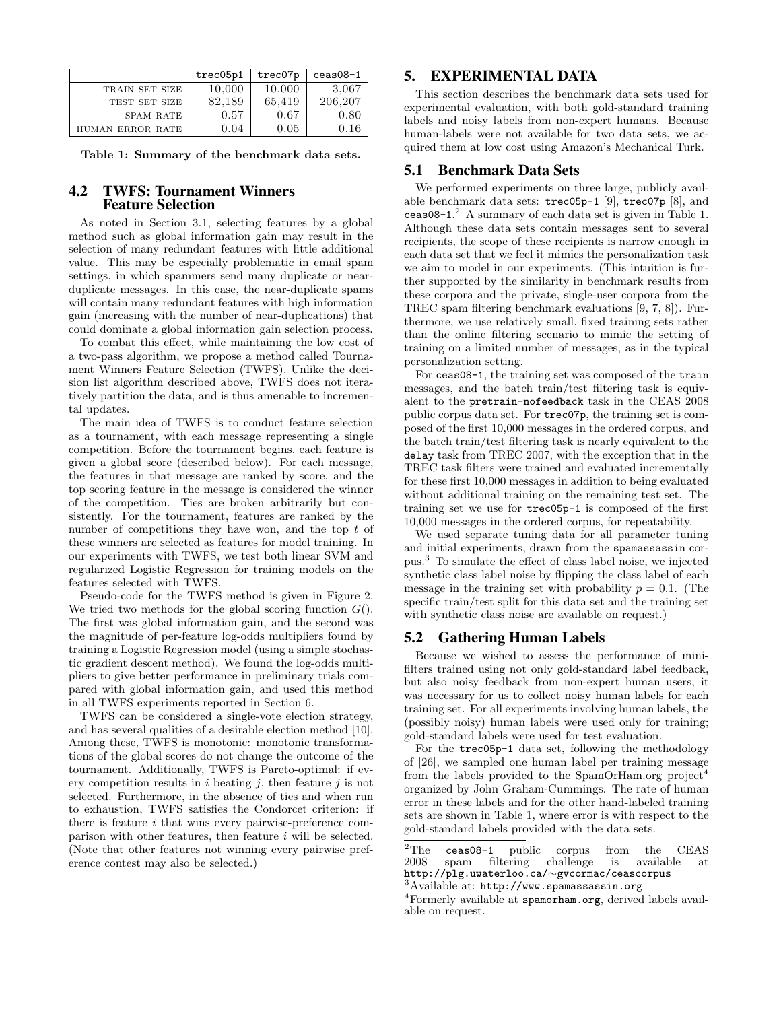|                  | trec05p1 | trec07p | $c$ eas $08-1$ |
|------------------|----------|---------|----------------|
| TRAIN SET SIZE   | 10,000   | 10,000  | 3,067          |
| TEST SET SIZE    | 82,189   | 65,419  | 206,207        |
| <b>SPAM RATE</b> | 0.57     | 0.67    | 0.80           |
| HUMAN ERROR RATE | 0.04     | 0.05    | 0.16           |

**Table 1: Summary of the benchmark data sets.**

#### 4.2 TWFS: Tournament Winners Feature Selection

As noted in Section 3.1, selecting features by a global method such as global information gain may result in the selection of many redundant features with little additional value. This may be especially problematic in email spam settings, in which spammers send many duplicate or nearduplicate messages. In this case, the near-duplicate spams will contain many redundant features with high information gain (increasing with the number of near-duplications) that could dominate a global information gain selection process.

To combat this effect, while maintaining the low cost of a two-pass algorithm, we propose a method called Tournament Winners Feature Selection (TWFS). Unlike the decision list algorithm described above, TWFS does not iteratively partition the data, and is thus amenable to incremental updates.

The main idea of TWFS is to conduct feature selection as a tournament, with each message representing a single competition. Before the tournament begins, each feature is given a global score (described below). For each message, the features in that message are ranked by score, and the top scoring feature in the message is considered the winner of the competition. Ties are broken arbitrarily but consistently. For the tournament, features are ranked by the number of competitions they have won, and the top *t* of these winners are selected as features for model training. In our experiments with TWFS, we test both linear SVM and regularized Logistic Regression for training models on the features selected with TWFS.

Pseudo-code for the TWFS method is given in Figure 2. We tried two methods for the global scoring function *G*(). The first was global information gain, and the second was the magnitude of per-feature log-odds multipliers found by training a Logistic Regression model (using a simple stochastic gradient descent method). We found the log-odds multipliers to give better performance in preliminary trials compared with global information gain, and used this method in all TWFS experiments reported in Section 6.

TWFS can be considered a single-vote election strategy, and has several qualities of a desirable election method [10]. Among these, TWFS is monotonic: monotonic transformations of the global scores do not change the outcome of the tournament. Additionally, TWFS is Pareto-optimal: if every competition results in *i* beating *j*, then feature *j* is not selected. Furthermore, in the absence of ties and when run to exhaustion, TWFS satisfies the Condorcet criterion: if there is feature *i* that wins every pairwise-preference comparison with other features, then feature *i* will be selected. (Note that other features not winning every pairwise preference contest may also be selected.)

## 5. EXPERIMENTAL DATA

This section describes the benchmark data sets used for experimental evaluation, with both gold-standard training labels and noisy labels from non-expert humans. Because human-labels were not available for two data sets, we acquired them at low cost using Amazon's Mechanical Turk.

#### 5.1 Benchmark Data Sets

We performed experiments on three large, publicly available benchmark data sets: trec05p-1 [9], trec07p [8], and ceas08-1. <sup>2</sup> A summary of each data set is given in Table 1. Although these data sets contain messages sent to several recipients, the scope of these recipients is narrow enough in each data set that we feel it mimics the personalization task we aim to model in our experiments. (This intuition is further supported by the similarity in benchmark results from these corpora and the private, single-user corpora from the TREC spam filtering benchmark evaluations [9, 7, 8]). Furthermore, we use relatively small, fixed training sets rather than the online filtering scenario to mimic the setting of training on a limited number of messages, as in the typical personalization setting.

For ceas08-1, the training set was composed of the train messages, and the batch train/test filtering task is equivalent to the pretrain-nofeedback task in the CEAS 2008 public corpus data set. For trec07p, the training set is composed of the first 10,000 messages in the ordered corpus, and the batch train/test filtering task is nearly equivalent to the delay task from TREC 2007, with the exception that in the TREC task filters were trained and evaluated incrementally for these first 10,000 messages in addition to being evaluated without additional training on the remaining test set. The training set we use for trec05p-1 is composed of the first 10,000 messages in the ordered corpus, for repeatability.

We used separate tuning data for all parameter tuning and initial experiments, drawn from the spamassassin corpus.<sup>3</sup> To simulate the effect of class label noise, we injected synthetic class label noise by flipping the class label of each message in the training set with probability  $p = 0.1$ . (The specific train/test split for this data set and the training set with synthetic class noise are available on request.)

#### 5.2 Gathering Human Labels

Because we wished to assess the performance of minifilters trained using not only gold-standard label feedback, but also noisy feedback from non-expert human users, it was necessary for us to collect noisy human labels for each training set. For all experiments involving human labels, the (possibly noisy) human labels were used only for training; gold-standard labels were used for test evaluation.

For the trec05p-1 data set, following the methodology of [26], we sampled one human label per training message from the labels provided to the SpamOrHam.org project<sup>4</sup> organized by John Graham-Cummings. The rate of human error in these labels and for the other hand-labeled training sets are shown in Table 1, where error is with respect to the gold-standard labels provided with the data sets.

<sup>&</sup>lt;sup>2</sup>The **ceas08-1** public corpus from the CEAS  $2008$  spam filtering challenge is available at spam filtering challenge is available http://plg.uwaterloo.ca/*∼*gvcormac/ceascorpus

<sup>&</sup>lt;sup>3</sup>Available at: http://www.spamassassin.org

<sup>4</sup>Formerly available at spamorham.org, derived labels available on request.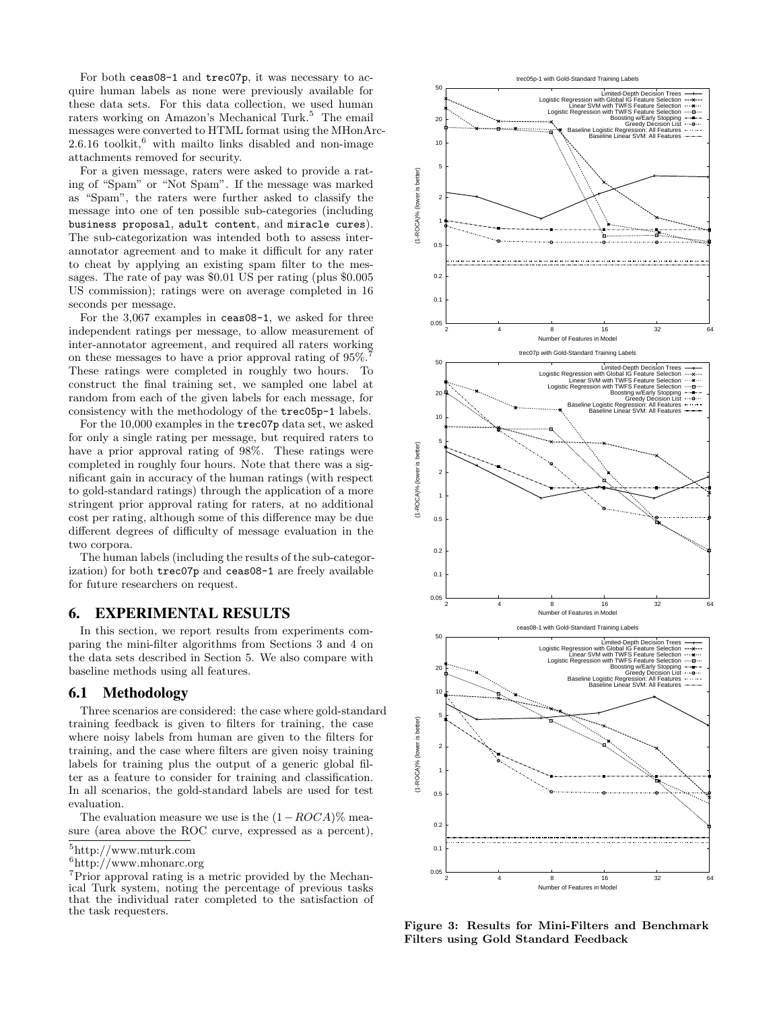For both ceas08-1 and trec07p, it was necessary to acquire human labels as none were previously available for these data sets. For this data collection, we used human raters working on Amazon's Mechanical Turk.<sup>5</sup> The email messages were converted to HTML format using the MHonArc- $2.6.16$  toolkit,<sup>6</sup> with mailto links disabled and non-image attachments removed for security.

For a given message, raters were asked to provide a rating of "Spam" or "Not Spam". If the message was marked as "Spam", the raters were further asked to classify the message into one of ten possible sub-categories (including business proposal, adult content, and miracle cures). The sub-categorization was intended both to assess interannotator agreement and to make it difficult for any rater to cheat by applying an existing spam filter to the messages. The rate of pay was \$0.01 US per rating (plus \$0.005 US commission); ratings were on average completed in 16 seconds per message.

For the 3,067 examples in ceas08-1, we asked for three independent ratings per message, to allow measurement of inter-annotator agreement, and required all raters working on these messages to have a prior approval rating of 95%. These ratings were completed in roughly two hours. To construct the final training set, we sampled one label at random from each of the given labels for each message, for consistency with the methodology of the trec05p-1 labels.

For the 10,000 examples in the trec07p data set, we asked for only a single rating per message, but required raters to have a prior approval rating of 98%. These ratings were completed in roughly four hours. Note that there was a significant gain in accuracy of the human ratings (with respect to gold-standard ratings) through the application of a more stringent prior approval rating for raters, at no additional cost per rating, although some of this difference may be due different degrees of difficulty of message evaluation in the two corpora. independent ratings per message, to allow measurement of<br>
independent ratings per message, to allow measurement of<br>
inter-annotator agreement, and required all ratios working<br>
Those ratings were completed in roughly two h

The human labels (including the results of the sub-categorization) for both trec07p and ceas08-1 are freely available for future researchers on request.

#### 6. EXPERIMENTAL RESULTS

In this section, we report results from experiments comparing the mini-filter algorithms from Sections 3 and 4 on the data sets described in Section 5. We also compare with baseline methods using all features.

#### 6.1 Methodology

Three scenarios are considered: the case where gold-standard training feedback is given to filters for training, the case where noisy labels from human are given to the filters for training, and the case where filters are given noisy training labels for training plus the output of a generic global filter as a feature to consider for training and classification. In all scenarios, the gold-standard labels are used for test evaluation.

The evaluation measure we use is the (1*−ROCA*)% measure (area above the ROC curve, expressed as a percent),

<sup>6</sup>http://www.mhonarc.org

<sup>7</sup>Prior approval rating is a metric provided by the Mechanical Turk system, noting the percentage of previous tasks that the individual rater completed to the satisfaction of



**Figure 3: Results for Mini-Filters and Benchmark Filters using Gold Standard Feedback**

<sup>5</sup>http://www.mturk.com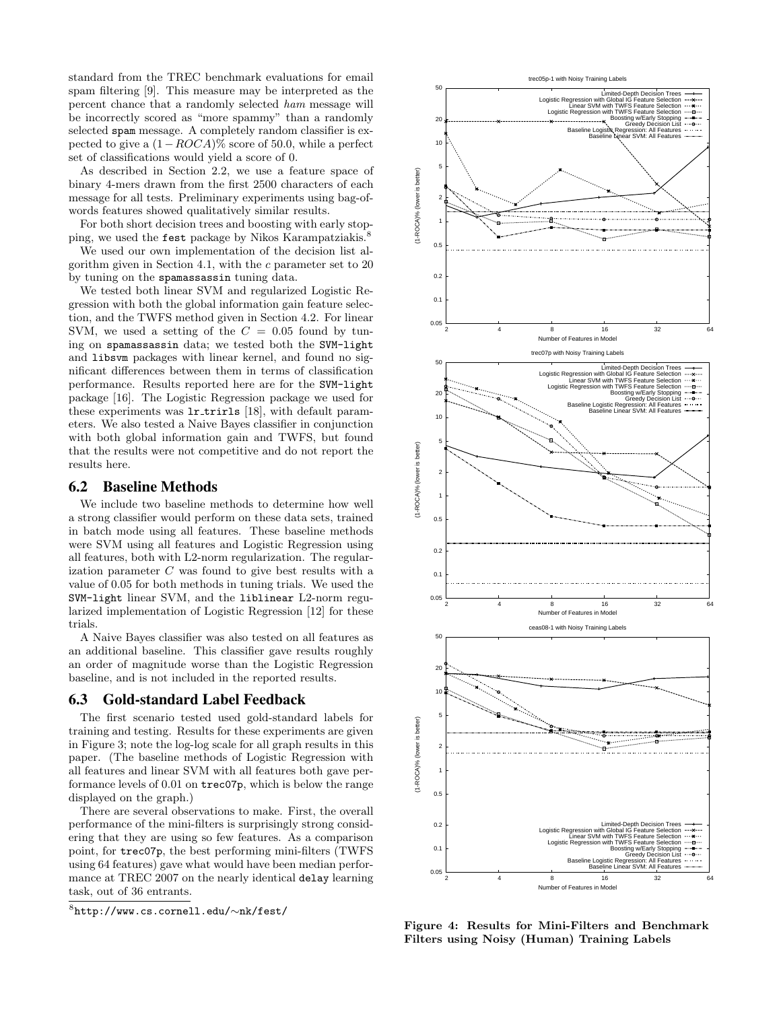standard from the TREC benchmark evaluations for email spam filtering [9]. This measure may be interpreted as the percent chance that a randomly selected *ham* message will be incorrectly scored as "more spammy" than a randomly selected spam message. A completely random classifier is expected to give a (1*−ROCA*)% score of 50.0, while a perfect set of classifications would yield a score of 0.

As described in Section 2.2, we use a feature space of binary 4-mers drawn from the first 2500 characters of each message for all tests. Preliminary experiments using bag-ofwords features showed qualitatively similar results.

For both short decision trees and boosting with early stopping, we used the fest package by Nikos Karampatziakis.<sup>8</sup>

We used our own implementation of the decision list algorithm given in Section 4.1, with the *c* parameter set to 20 by tuning on the spamassassin tuning data.

We tested both linear SVM and regularized Logistic Regression with both the global information gain feature selection, and the TWFS method given in Section 4.2. For linear SVM, we used a setting of the  $C = 0.05$  found by tuning on spamassassin data; we tested both the SVM-light and libsvm packages with linear kernel, and found no significant differences between them in terms of classification performance. Results reported here are for the SVM-light package [16]. The Logistic Regression package we used for these experiments was  $1r_$ trirls [18], with default parameters. We also tested a Naive Bayes classifier in conjunction with both global information gain and TWFS, but found that the results were not competitive and do not report the results here. VM, we used a setting of the  $C = 0.05$  found by tun-<br><sup>org</sup> go on sparassassas in data; we issted both the SW+1ight<br>did 11beva packages with linear kernel, and found no sig-<br>informance. Results reported here are for the SW

#### 6.2 Baseline Methods

We include two baseline methods to determine how well a strong classifier would perform on these data sets, trained in batch mode using all features. These baseline methods were SVM using all features and Logistic Regression using all features, both with L2-norm regularization. The regularization parameter *C* was found to give best results with a value of 0.05 for both methods in tuning trials. We used the SVM-light linear SVM, and the liblinear L2-norm regularized implementation of Logistic Regression [12] for these trials.

A Naive Bayes classifier was also tested on all features as an additional baseline. This classifier gave results roughly an order of magnitude worse than the Logistic Regression baseline, and is not included in the reported results.

#### 6.3 Gold-standard Label Feedback

The first scenario tested used gold-standard labels for training and testing. Results for these experiments are given in Figure 3; note the log-log scale for all graph results in this paper. (The baseline methods of Logistic Regression with all features and linear SVM with all features both gave performance levels of 0.01 on trec07p, which is below the range displayed on the graph.)

There are several observations to make. First, the overall performance of the mini-filters is surprisingly strong considering that they are using so few features. As a comparison point, for trec07p, the best performing mini-filters (TWFS using 64 features) gave what would have been median performance at TREC 2007 on the nearly identical delay learning task, out of 36 entrants.

 $8$ http://www.cs.cornell.edu/ $\sim$ nk/fest/



**Figure 4: Results for Mini-Filters and Benchmark Filters using Noisy (Human) Training Labels**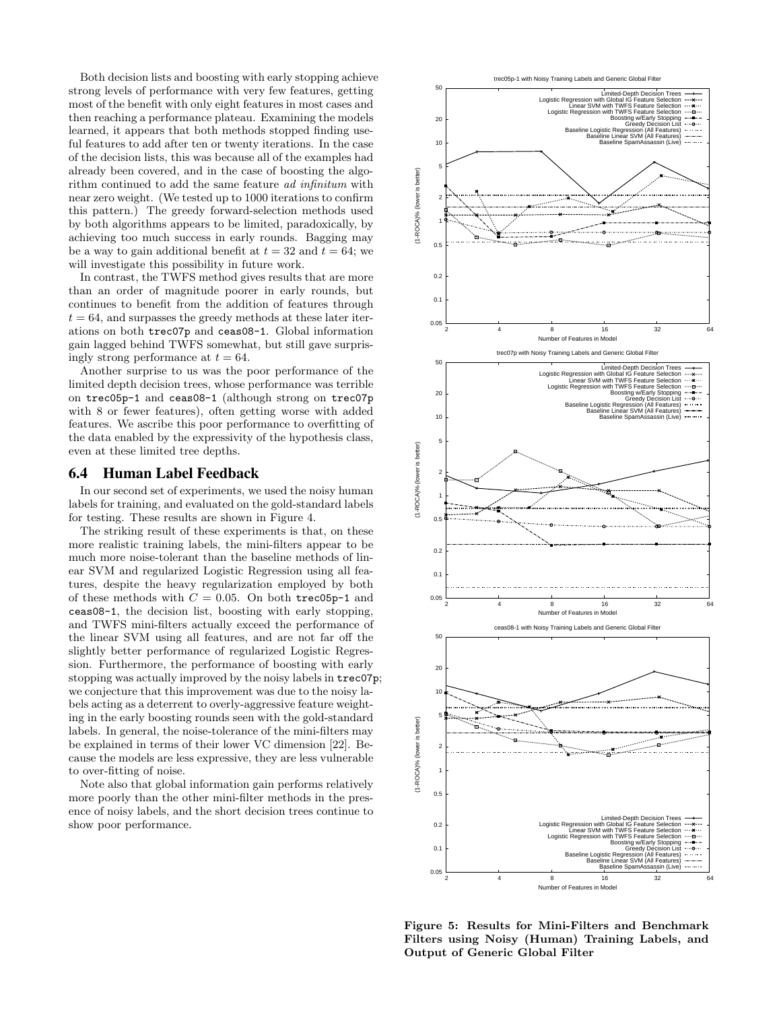Both decision lists and boosting with early stopping achieve strong levels of performance with very few features, getting most of the benefit with only eight features in most cases and then reaching a performance plateau. Examining the models learned, it appears that both methods stopped finding useful features to add after ten or twenty iterations. In the case of the decision lists, this was because all of the examples had already been covered, and in the case of boosting the algorithm continued to add the same feature *ad infinitum* with near zero weight. (We tested up to 1000 iterations to confirm this pattern.) The greedy forward-selection methods used by both algorithms appears to be limited, paradoxically, by achieving too much success in early rounds. Bagging may be a way to gain additional benefit at  $t = 32$  and  $t = 64$ ; we will investigate this possibility in future work.

In contrast, the TWFS method gives results that are more than an order of magnitude poorer in early rounds, but continues to benefit from the addition of features through  $t = 64$ , and surpasses the greedy methods at these later iterations on both trec07p and ceas08-1. Global information gain lagged behind TWFS somewhat, but still gave surprisingly strong performance at  $t = 64$ .

Another surprise to us was the poor performance of the limited depth decision trees, whose performance was terrible on trec05p-1 and ceas08-1 (although strong on trec07p with 8 or fewer features), often getting worse with added features. We ascribe this poor performance to overfitting of the data enabled by the expressivity of the hypothesis class, even at these limited tree depths.

#### 6.4 Human Label Feedback

In our second set of experiments, we used the noisy human labels for training, and evaluated on the gold-standard labels for testing. These results are shown in Figure 4.

The striking result of these experiments is that, on these more realistic training labels, the mini-filters appear to be much more noise-tolerant than the baseline methods of linear SVM and regularized Logistic Regression using all features, despite the heavy regularization employed by both of these methods with  $C = 0.05$ . On both trec05p-1 and ceas08-1, the decision list, boosting with early stopping, and TWFS mini-filters actually exceed the performance of the linear SVM using all features, and are not far off the slightly better performance of regularized Logistic Regression. Furthermore, the performance of boosting with early stopping was actually improved by the noisy labels in trec07p; we conjecture that this improvement was due to the noisy labels acting as a deterrent to overly-aggressive feature weighting in the early boosting rounds seen with the gold-standard labels. In general, the noise-tolerance of the mini-filters may be explained in terms of their lower VC dimension [22]. Because the models are less expressive, they are less vulnerable to over-fitting of noise.

Note also that global information gain performs relatively more poorly than the other mini-filter methods in the presence of noisy labels, and the short decision trees continue to show poor performance.



**Figure 5: Results for Mini-Filters and Benchmark Filters using Noisy (Human) Training Labels, and Output of Generic Global Filter**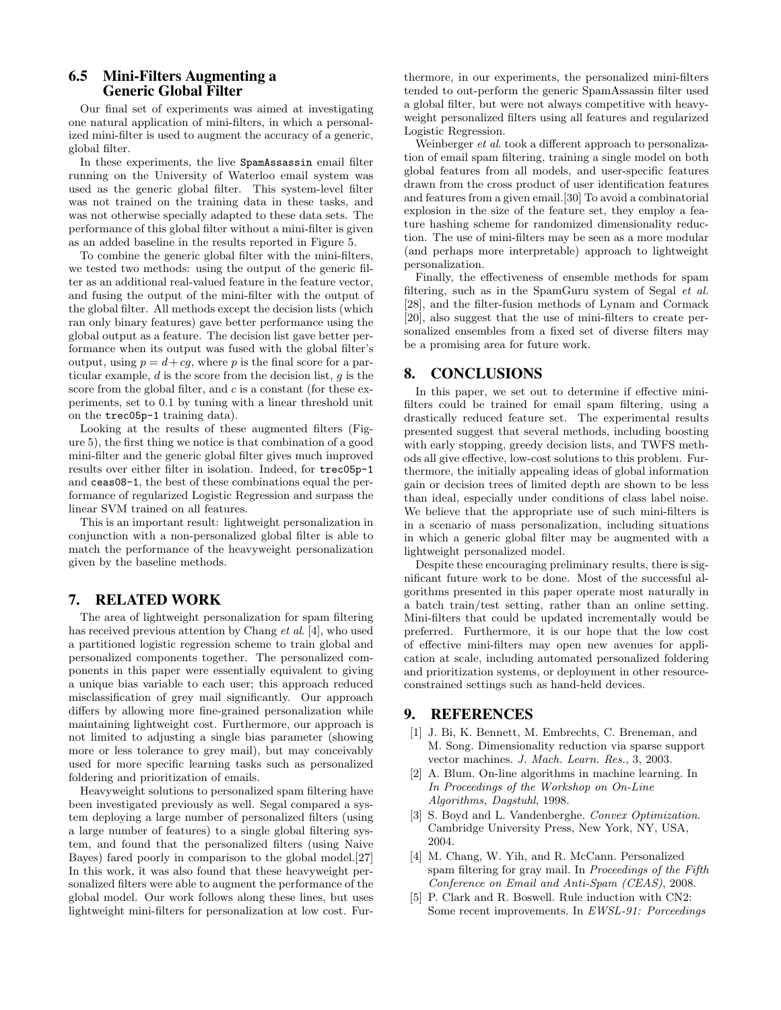## 6.5 Mini-Filters Augmenting a Generic Global Filter

Our final set of experiments was aimed at investigating one natural application of mini-filters, in which a personalized mini-filter is used to augment the accuracy of a generic, global filter.

In these experiments, the live SpamAssassin email filter running on the University of Waterloo email system was used as the generic global filter. This system-level filter was not trained on the training data in these tasks, and was not otherwise specially adapted to these data sets. The performance of this global filter without a mini-filter is given as an added baseline in the results reported in Figure 5.

To combine the generic global filter with the mini-filters, we tested two methods: using the output of the generic filter as an additional real-valued feature in the feature vector, and fusing the output of the mini-filter with the output of the global filter. All methods except the decision lists (which ran only binary features) gave better performance using the global output as a feature. The decision list gave better performance when its output was fused with the global filter's output, using  $p = d + cg$ , where p is the final score for a particular example, *d* is the score from the decision list, *g* is the score from the global filter, and *c* is a constant (for these experiments, set to 0.1 by tuning with a linear threshold unit on the trec05p-1 training data).

Looking at the results of these augmented filters (Figure 5), the first thing we notice is that combination of a good mini-filter and the generic global filter gives much improved results over either filter in isolation. Indeed, for trec05p-1 and ceas08-1, the best of these combinations equal the performance of regularized Logistic Regression and surpass the linear SVM trained on all features.

This is an important result: lightweight personalization in conjunction with a non-personalized global filter is able to match the performance of the heavyweight personalization given by the baseline methods.

# 7. RELATED WORK

The area of lightweight personalization for spam filtering has received previous attention by Chang *et al*. [4], who used a partitioned logistic regression scheme to train global and personalized components together. The personalized components in this paper were essentially equivalent to giving a unique bias variable to each user; this approach reduced misclassification of grey mail significantly. Our approach differs by allowing more fine-grained personalization while maintaining lightweight cost. Furthermore, our approach is not limited to adjusting a single bias parameter (showing more or less tolerance to grey mail), but may conceivably used for more specific learning tasks such as personalized foldering and prioritization of emails.

Heavyweight solutions to personalized spam filtering have been investigated previously as well. Segal compared a system deploying a large number of personalized filters (using a large number of features) to a single global filtering system, and found that the personalized filters (using Naive Bayes) fared poorly in comparison to the global model.[27] In this work, it was also found that these heavyweight personalized filters were able to augment the performance of the global model. Our work follows along these lines, but uses lightweight mini-filters for personalization at low cost. Furthermore, in our experiments, the personalized mini-filters tended to out-perform the generic SpamAssassin filter used a global filter, but were not always competitive with heavyweight personalized filters using all features and regularized Logistic Regression.

Weinberger *et al*. took a different approach to personalization of email spam filtering, training a single model on both global features from all models, and user-specific features drawn from the cross product of user identification features and features from a given email.[30] To avoid a combinatorial explosion in the size of the feature set, they employ a feature hashing scheme for randomized dimensionality reduction. The use of mini-filters may be seen as a more modular (and perhaps more interpretable) approach to lightweight personalization.

Finally, the effectiveness of ensemble methods for spam filtering, such as in the SpamGuru system of Segal *et al.* [28], and the filter-fusion methods of Lynam and Cormack [20], also suggest that the use of mini-filters to create personalized ensembles from a fixed set of diverse filters may be a promising area for future work.

#### 8. CONCLUSIONS

In this paper, we set out to determine if effective minifilters could be trained for email spam filtering, using a drastically reduced feature set. The experimental results presented suggest that several methods, including boosting with early stopping, greedy decision lists, and TWFS methods all give effective, low-cost solutions to this problem. Furthermore, the initially appealing ideas of global information gain or decision trees of limited depth are shown to be less than ideal, especially under conditions of class label noise. We believe that the appropriate use of such mini-filters is in a scenario of mass personalization, including situations in which a generic global filter may be augmented with a lightweight personalized model.

Despite these encouraging preliminary results, there is significant future work to be done. Most of the successful algorithms presented in this paper operate most naturally in a batch train/test setting, rather than an online setting. Mini-filters that could be updated incrementally would be preferred. Furthermore, it is our hope that the low cost of effective mini-filters may open new avenues for application at scale, including automated personalized foldering and prioritization systems, or deployment in other resourceconstrained settings such as hand-held devices.

# 9. REFERENCES

- [1] J. Bi, K. Bennett, M. Embrechts, C. Breneman, and M. Song. Dimensionality reduction via sparse support vector machines. *J. Mach. Learn. Res.*, 3, 2003.
- [2] A. Blum. On-line algorithms in machine learning. In *In Proceedings of the Workshop on On-Line Algorithms, Dagstuhl*, 1998.
- [3] S. Boyd and L. Vandenberghe. *Convex Optimization*. Cambridge University Press, New York, NY, USA, 2004.
- [4] M. Chang, W. Yih, and R. McCann. Personalized spam filtering for gray mail. In *Proceedings of the Fifth Conference on Email and Anti-Spam (CEAS)*, 2008.
- [5] P. Clark and R. Boswell. Rule induction with CN2: Some recent improvements. In *EWSL-91: Porceedings*